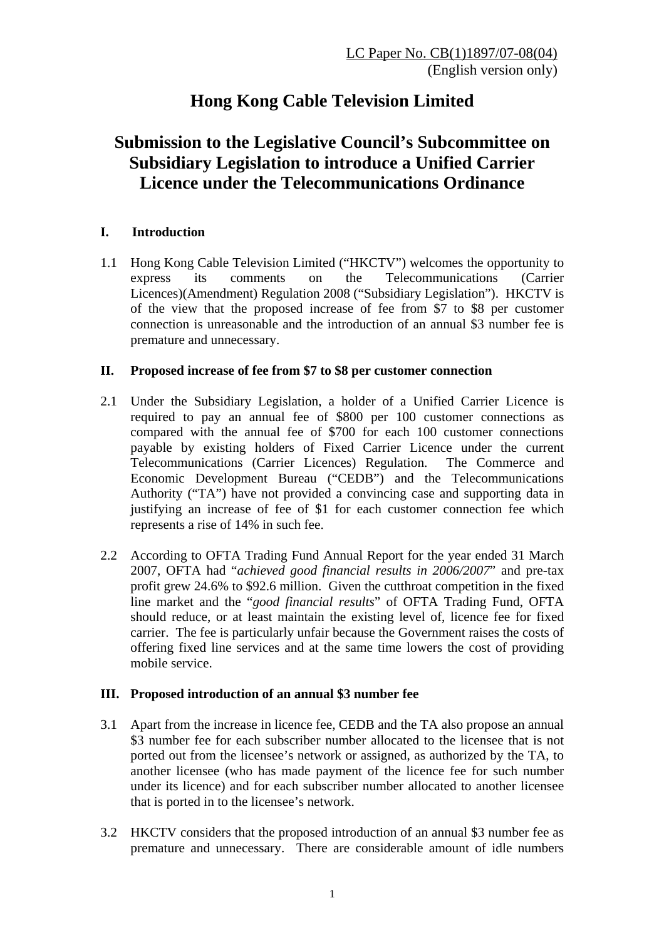# **Hong Kong Cable Television Limited**

## **Submission to the Legislative Council's Subcommittee on Subsidiary Legislation to introduce a Unified Carrier Licence under the Telecommunications Ordinance**

### **I. Introduction**

1.1 Hong Kong Cable Television Limited ("HKCTV") welcomes the opportunity to express its comments on the Telecommunications (Carrier Licences)(Amendment) Regulation 2008 ("Subsidiary Legislation"). HKCTV is of the view that the proposed increase of fee from \$7 to \$8 per customer connection is unreasonable and the introduction of an annual \$3 number fee is premature and unnecessary.

### **II. Proposed increase of fee from \$7 to \$8 per customer connection**

- 2.1 Under the Subsidiary Legislation, a holder of a Unified Carrier Licence is required to pay an annual fee of \$800 per 100 customer connections as compared with the annual fee of \$700 for each 100 customer connections payable by existing holders of Fixed Carrier Licence under the current Telecommunications (Carrier Licences) Regulation. The Commerce and Economic Development Bureau ("CEDB") and the Telecommunications Authority ("TA") have not provided a convincing case and supporting data in justifying an increase of fee of \$1 for each customer connection fee which represents a rise of 14% in such fee.
- 2.2 According to OFTA Trading Fund Annual Report for the year ended 31 March 2007, OFTA had "*achieved good financial results in 2006/2007*" and pre-tax profit grew 24.6% to \$92.6 million. Given the cutthroat competition in the fixed line market and the "*good financial results*" of OFTA Trading Fund, OFTA should reduce, or at least maintain the existing level of, licence fee for fixed carrier. The fee is particularly unfair because the Government raises the costs of offering fixed line services and at the same time lowers the cost of providing mobile service.

### **III. Proposed introduction of an annual \$3 number fee**

- 3.1 Apart from the increase in licence fee, CEDB and the TA also propose an annual \$3 number fee for each subscriber number allocated to the licensee that is not ported out from the licensee's network or assigned, as authorized by the TA, to another licensee (who has made payment of the licence fee for such number under its licence) and for each subscriber number allocated to another licensee that is ported in to the licensee's network.
- 3.2 HKCTV considers that the proposed introduction of an annual \$3 number fee as premature and unnecessary. There are considerable amount of idle numbers